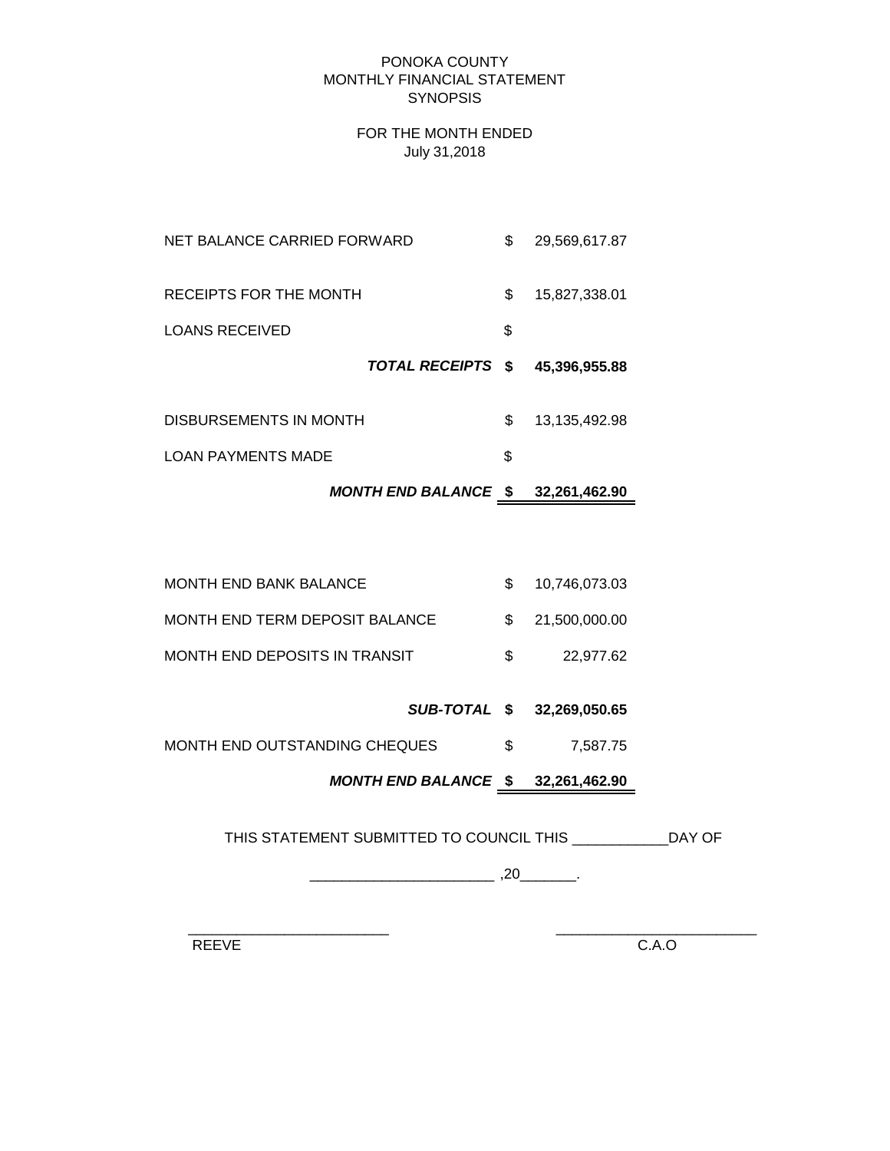#### PONOKA COUNTY MONTHLY FINANCIAL STATEMENT **SYNOPSIS**

### FOR THE MONTH ENDED July 31,2018

| NET BALANCE CARRIED FORWARD |                   | \$<br>29,569,617.87 |
|-----------------------------|-------------------|---------------------|
| RECEIPTS FOR THE MONTH      |                   | \$<br>15,827,338.01 |
| LOANS RECEIVED              |                   | \$                  |
|                             |                   |                     |
|                             | TOTAL RECEIPTS \$ | 45,396,955.88       |
| DISBURSEMENTS IN MONTH      |                   | \$<br>13,135,492.98 |
| <b>LOAN PAYMENTS MADE</b>   |                   | \$                  |

# *MONTH END BALANCE* **\$ 32,261,462.90**

| MONTH END BANK BALANCE         |     | 10,746,073.03   |
|--------------------------------|-----|-----------------|
| MONTH END TERM DEPOSIT BALANCE |     | \$21.500.000.00 |
| MONTH END DEPOSITS IN TRANSIT  | SS. | 22.977.62       |

*SUB-TOTAL* **\$ 32,269,050.65**

MONTH END OUTSTANDING CHEQUES  $$$  7,587.75

*MONTH END BALANCE* **\$ 32,261,462.90**

THIS STATEMENT SUBMITTED TO COUNCIL THIS \_\_\_\_\_\_\_\_\_\_\_\_DAY OF

\_\_\_\_\_\_\_\_\_\_\_\_\_\_\_\_\_\_\_\_\_\_\_ ,20\_\_\_\_\_\_\_.

 $\frac{1}{2}$  ,  $\frac{1}{2}$  ,  $\frac{1}{2}$  ,  $\frac{1}{2}$  ,  $\frac{1}{2}$  ,  $\frac{1}{2}$  ,  $\frac{1}{2}$  ,  $\frac{1}{2}$  ,  $\frac{1}{2}$  ,  $\frac{1}{2}$  ,  $\frac{1}{2}$  ,  $\frac{1}{2}$  ,  $\frac{1}{2}$  ,  $\frac{1}{2}$  ,  $\frac{1}{2}$  ,  $\frac{1}{2}$  ,  $\frac{1}{2}$  ,  $\frac{1}{2}$  ,  $\frac{1$ 

REEVE C.A.O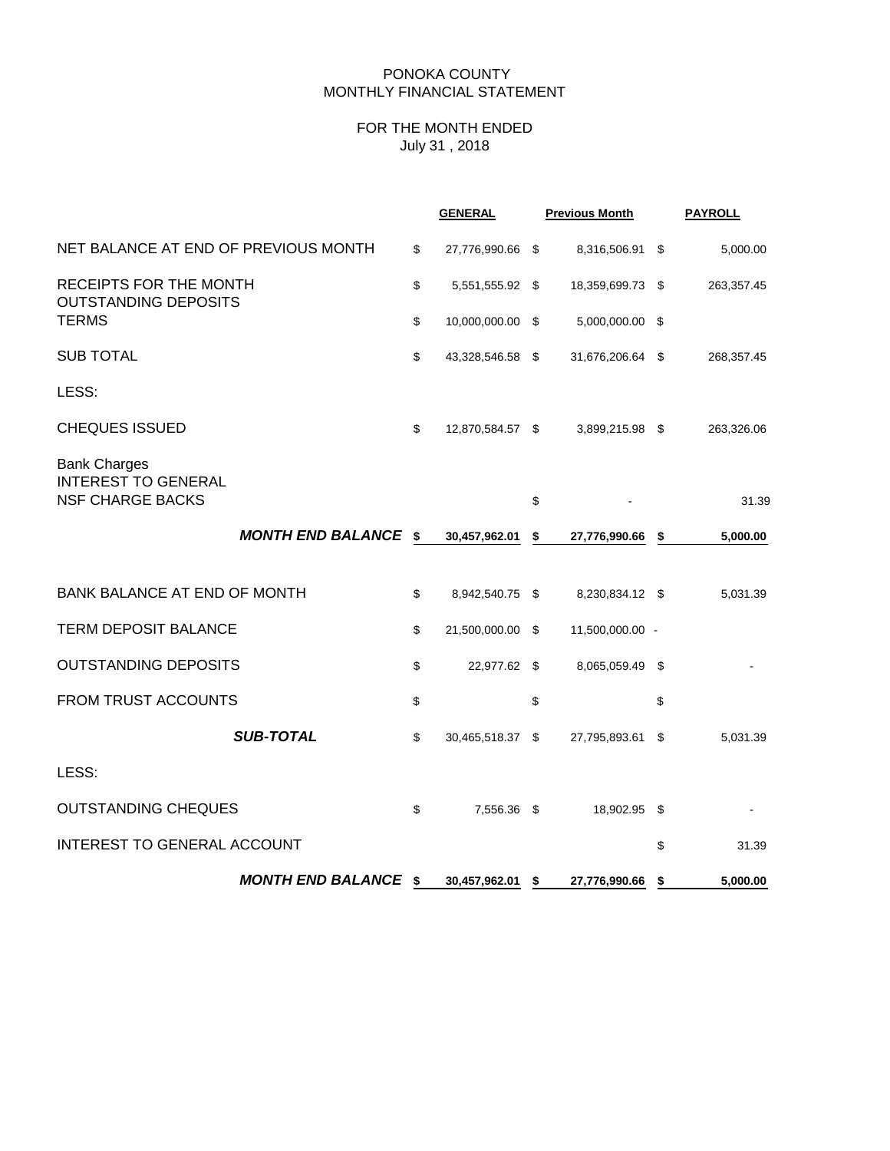## PONOKA COUNTY MONTHLY FINANCIAL STATEMENT

# FOR THE MONTH ENDED July 31 , 2018

|                                                                              | <b>GENERAL</b>         | <b>Previous Month</b>  | <b>PAYROLL</b> |
|------------------------------------------------------------------------------|------------------------|------------------------|----------------|
| NET BALANCE AT END OF PREVIOUS MONTH                                         | \$<br>27,776,990.66 \$ | 8,316,506.91 \$        | 5,000.00       |
| RECEIPTS FOR THE MONTH<br><b>OUTSTANDING DEPOSITS</b>                        | \$<br>5,551,555.92 \$  | 18,359,699.73 \$       | 263,357.45     |
| <b>TERMS</b>                                                                 | \$<br>10,000,000.00 \$ | 5,000,000.00 \$        |                |
| <b>SUB TOTAL</b>                                                             | \$<br>43,328,546.58 \$ | 31,676,206.64 \$       | 268,357.45     |
| LESS:                                                                        |                        |                        |                |
| <b>CHEQUES ISSUED</b>                                                        | \$<br>12,870,584.57 \$ | 3,899,215.98 \$        | 263,326.06     |
| <b>Bank Charges</b><br><b>INTEREST TO GENERAL</b><br><b>NSF CHARGE BACKS</b> |                        | \$                     | 31.39          |
| MONTH END BALANCE \$                                                         | 30,457,962.01          | \$<br>27,776,990.66 \$ | 5,000.00       |
| <b>BANK BALANCE AT END OF MONTH</b>                                          | \$<br>8,942,540.75 \$  | 8,230,834.12 \$        | 5,031.39       |
| <b>TERM DEPOSIT BALANCE</b>                                                  | \$<br>21,500,000.00 \$ | 11,500,000.00 -        |                |
| <b>OUTSTANDING DEPOSITS</b>                                                  | \$<br>22,977.62 \$     | 8,065,059.49 \$        |                |
| <b>FROM TRUST ACCOUNTS</b>                                                   | \$                     | \$                     | \$             |
| <b>SUB-TOTAL</b>                                                             | \$<br>30,465,518.37 \$ | 27,795,893.61 \$       | 5,031.39       |
| LESS:                                                                        |                        |                        |                |
| <b>OUTSTANDING CHEQUES</b>                                                   | \$<br>7,556.36 \$      | 18,902.95 \$           |                |
| INTEREST TO GENERAL ACCOUNT                                                  |                        |                        | \$<br>31.39    |
| <b>MONTH END BALANCE \$</b>                                                  | 30,457,962.01 \$       | 27,776,990.66 \$       | 5,000.00       |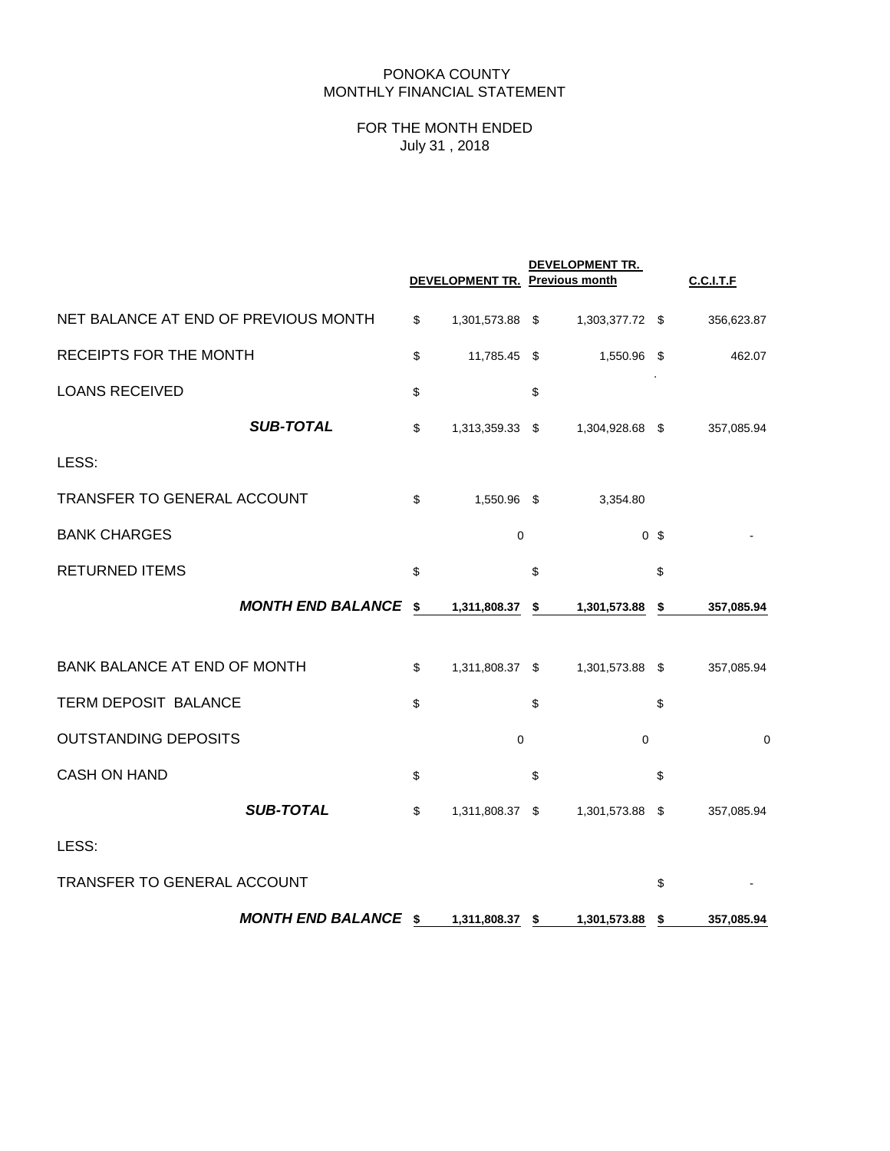# PONOKA COUNTY MONTHLY FINANCIAL STATEMENT

# FOR THE MONTH ENDED July 31 , 2018

|                                      |                             | DEVELOPMENT TR. Previous month | DEVELOPMENT TR.    |                | <b>C.C.I.T.F</b> |
|--------------------------------------|-----------------------------|--------------------------------|--------------------|----------------|------------------|
| NET BALANCE AT END OF PREVIOUS MONTH |                             | \$<br>1,301,573.88 \$          | 1,303,377.72 \$    |                | 356,623.87       |
| RECEIPTS FOR THE MONTH               |                             | \$<br>11,785.45 \$             | 1,550.96 \$        |                | 462.07           |
| <b>LOANS RECEIVED</b>                |                             | \$                             | \$                 |                |                  |
|                                      | <b>SUB-TOTAL</b>            | \$<br>1,313,359.33 \$          | 1,304,928.68 \$    |                | 357,085.94       |
| LESS:                                |                             |                                |                    |                |                  |
| TRANSFER TO GENERAL ACCOUNT          |                             | \$<br>1,550.96 \$              | 3,354.80           |                |                  |
| <b>BANK CHARGES</b>                  |                             | $\mathbf 0$                    |                    | 0 <sup>5</sup> |                  |
| <b>RETURNED ITEMS</b>                |                             | \$                             | \$                 | \$             |                  |
|                                      | <b>MONTH END BALANCE</b>    | \$<br>1,311,808.37             | \$<br>1,301,573.88 | \$             | 357,085.94       |
| <b>BANK BALANCE AT END OF MONTH</b>  |                             | \$<br>1,311,808.37 \$          | 1,301,573.88 \$    |                | 357,085.94       |
| TERM DEPOSIT BALANCE                 |                             | \$                             | \$                 | \$             |                  |
| <b>OUTSTANDING DEPOSITS</b>          |                             | $\mathbf 0$                    | $\mathbf 0$        |                | $\mathbf 0$      |
| <b>CASH ON HAND</b>                  |                             | \$                             | \$                 | \$             |                  |
|                                      | <b>SUB-TOTAL</b>            | \$<br>1,311,808.37 \$          | 1,301,573.88 \$    |                | 357,085.94       |
| LESS:                                |                             |                                |                    |                |                  |
| TRANSFER TO GENERAL ACCOUNT          |                             |                                |                    | \$             |                  |
|                                      | <b>MONTH END BALANCE \$</b> | 1,311,808.37 \$                | 1,301,573.88       | \$             | 357,085.94       |